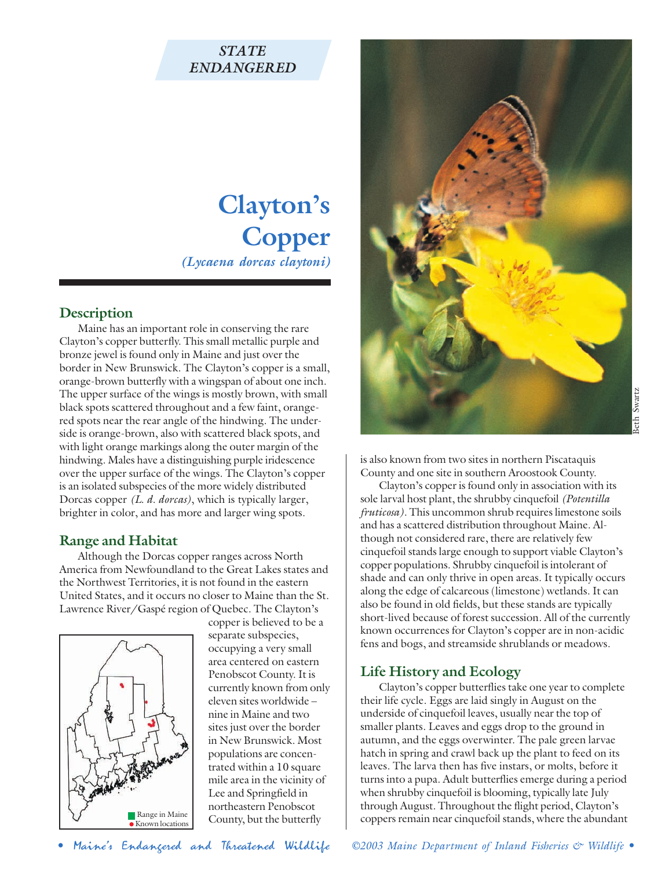## *STATE ENDANGERED*

# **Clayton's Copper** *(Lycaena dorcas claytoni)*

## **Description**

Maine has an important role in conserving the rare Clayton's copper butterfly. This small metallic purple and bronze jewel is found only in Maine and just over the border in New Brunswick. The Clayton's copper is a small, orange-brown butterfly with a wingspan of about one inch. The upper surface of the wings is mostly brown, with small black spots scattered throughout and a few faint, orangered spots near the rear angle of the hindwing. The underside is orange-brown, also with scattered black spots, and with light orange markings along the outer margin of the hindwing. Males have a distinguishing purple iridescence over the upper surface of the wings. The Clayton's copper is an isolated subspecies of the more widely distributed Dorcas copper *(L. d. dorcas)*, which is typically larger, brighter in color, and has more and larger wing spots.

#### **Range and Habitat**

Although the Dorcas copper ranges across North America from Newfoundland to the Great Lakes states and the Northwest Territories, it is not found in the eastern United States, and it occurs no closer to Maine than the St. Lawrence River/Gaspé region of Quebec. The Clayton's



copper is believed to be a separate subspecies, occupying a very small area centered on eastern Penobscot County. It is currently known from only eleven sites worldwide – nine in Maine and two sites just over the border in New Brunswick. Most populations are concentrated within a 10 square mile area in the vicinity of Lee and Springfield in northeastern Penobscot County, but the butterfly



is also known from two sites in northern Piscataquis County and one site in southern Aroostook County.

Clayton's copper is found only in association with its sole larval host plant, the shrubby cinquefoil *(Potentilla fruticosa)*. This uncommon shrub requires limestone soils and has a scattered distribution throughout Maine. Although not considered rare, there are relatively few cinquefoil stands large enough to support viable Clayton's copper populations. Shrubby cinquefoil is intolerant of shade and can only thrive in open areas. It typically occurs along the edge of calcareous (limestone) wetlands. It can also be found in old fields, but these stands are typically short-lived because of forest succession. All of the currently known occurrences for Clayton's copper are in non-acidic fens and bogs, and streamside shrublands or meadows.

## **Life History and Ecology**

Clayton's copper butterflies take one year to complete their life cycle. Eggs are laid singly in August on the underside of cinquefoil leaves, usually near the top of smaller plants. Leaves and eggs drop to the ground in autumn, and the eggs overwinter. The pale green larvae hatch in spring and crawl back up the plant to feed on its leaves. The larva then has five instars, or molts, before it turns into a pupa. Adult butterflies emerge during a period when shrubby cinquefoil is blooming, typically late July through August. Throughout the flight period, Clayton's coppers remain near cinquefoil stands, where the abundant